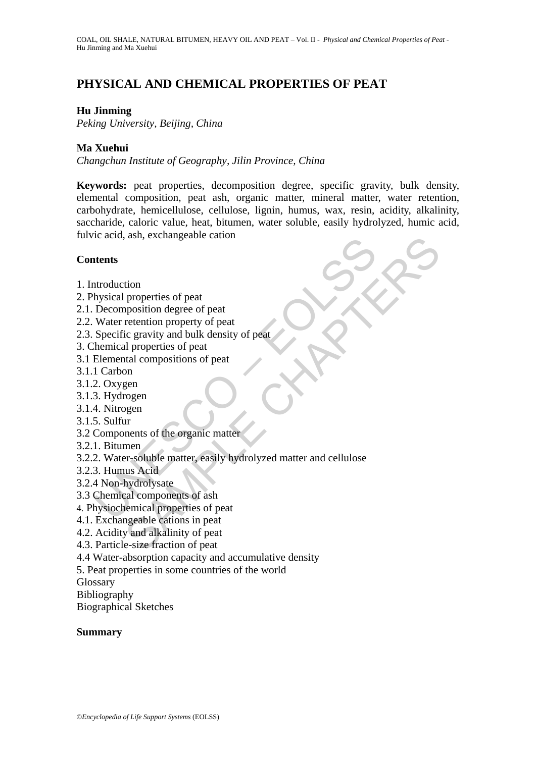# **PHYSICAL AND CHEMICAL PROPERTIES OF PEAT**

# **Hu Jinming**

*Peking University, Beijing, China*

## **Ma Xuehui**

*Changchun Institute of Geography, Jilin Province, China*

**Keywords:** peat properties, decomposition degree, specific gravity, bulk density, elemental composition, peat ash, organic matter, mineral matter, water retention, carbohydrate, hemicellulose, cellulose, lignin, humus, wax, resin, acidity, alkalinity, saccharide, caloric value, heat, bitumen, water soluble, easily hydrolyzed, humic acid, fulvic acid, ash, exchangeable cation

### **Contents**

- 1. Introduction
- 2. Physical properties of peat
- 2.1. Decomposition degree of peat
- 2.2. Water retention property of peat
- 2.3. Specific gravity and bulk density of peat
- 3. Chemical properties of peat
- 3.1 Elemental compositions of peat
- 3.1.1 Carbon
- 3.1.2. Oxygen
- 3.1.3. Hydrogen
- 3.1.4. Nitrogen
- 3.1.5. Sulfur
- 3.2 Components of the organic matter
- 3.2.1. Bitumen
- Maria Calcularia<br>
Intendiction<br>
Introduction<br>
Introduction<br>
Intendiction degree of peat<br>
Decomposition degree of peat<br>
Specific gravity and bulk density of peat<br>
Specific gravity and bulk density of peat<br>
Incarbon degree o (asia, exchangeable canon)<br>
properties of peat<br>
recention property of peat<br>
recention property of peat<br>
recention property of peat<br>
dul properties of peat<br>
ratal compositions of peat<br>
recention<br>
or<br>
components of the organ 3.2.2. Water-soluble matter, easily hydrolyzed matter and cellulose
- 3.2.3. Humus Acid
- 3.2.4 Non-hydrolysate
- 3.3 Chemical components of ash
- 4. Physiochemical properties of peat
- 4.1. Exchangeable cations in peat
- 4.2. Acidity and alkalinity of peat
- 4.3. Particle-size fraction of peat
- 4.4 Water-absorption capacity and accumulative density

5. Peat properties in some countries of the world

Glossary

Bibliography

Biographical Sketches

### **Summary**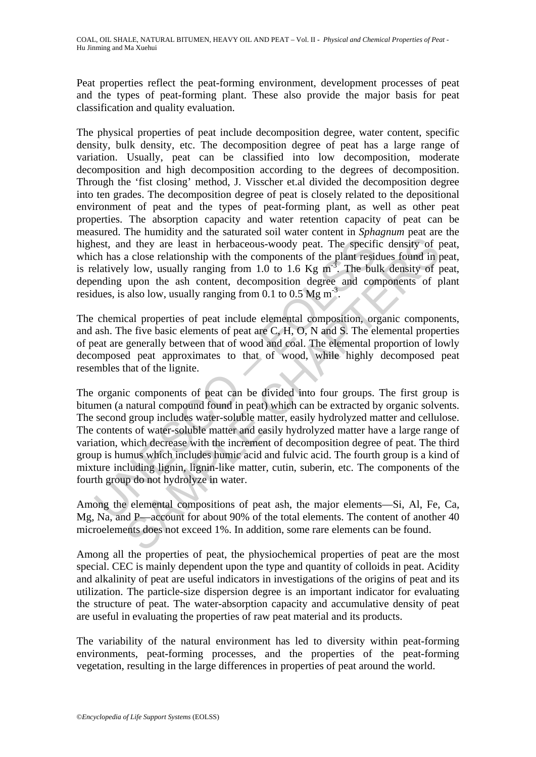Peat properties reflect the peat-forming environment, development processes of peat and the types of peat-forming plant. These also provide the major basis for peat classification and quality evaluation.

The physical properties of peat include decomposition degree, water content, specific density, bulk density, etc. The decomposition degree of peat has a large range of variation. Usually, peat can be classified into low decomposition, moderate decomposition and high decomposition according to the degrees of decomposition. Through the 'fist closing' method, J. Visscher et.al divided the decomposition degree into ten grades. The decomposition degree of peat is closely related to the depositional environment of peat and the types of peat-forming plant, as well as other peat properties. The absorption capacity and water retention capacity of peat can be measured. The humidity and the saturated soil water content in *Sphagnum* peat are the highest, and they are least in herbaceous-woody peat. The specific density of peat, which has a close relationship with the components of the plant residues found in peat, is relatively low, usually ranging from 1.0 to 1.6 Kg  $m<sup>3</sup>$ . The bulk density of peat, depending upon the ash content, decomposition degree and components of plant residues, is also low, usually ranging from 0.1 to 0.5 Mg  $\text{m}^3$ .

The chemical properties of peat include elemental composition, organic components, and ash. The five basic elements of peat are C, H, O, N and S. The elemental properties of peat are generally between that of wood and coal. The elemental proportion of lowly decomposed peat approximates to that of wood, while highly decomposed peat resembles that of the lignite.

nest, and they are least in herbaceous-woody peat. The specifich has a close relationship with the components of the plant residentively low, usually ranging from 1.0 to 1.6 Kg m<sup>-3</sup>. The bultionary explores and cordues, In the space of the matter and collapter and collapter of the particular of the plane and only of particular actose relationship with the components of the plant residues found in p low, usually ranging from 1.0 to 1.6 Kg The organic components of peat can be divided into four groups. The first group is bitumen (a natural compound found in peat) which can be extracted by organic solvents. The second group includes water-soluble matter, easily hydrolyzed matter and cellulose. The contents of water-soluble matter and easily hydrolyzed matter have a large range of variation, which decrease with the increment of decomposition degree of peat. The third group is humus which includes humic acid and fulvic acid. The fourth group is a kind of mixture including lignin, lignin-like matter, cutin, suberin, etc. The components of the fourth group do not hydrolyze in water.

Among the elemental compositions of peat ash, the major elements—Si, Al, Fe, Ca, Mg, Na, and P—account for about 90% of the total elements. The content of another 40 microelements does not exceed 1%. In addition, some rare elements can be found.

Among all the properties of peat, the physiochemical properties of peat are the most special. CEC is mainly dependent upon the type and quantity of colloids in peat. Acidity and alkalinity of peat are useful indicators in investigations of the origins of peat and its utilization. The particle-size dispersion degree is an important indicator for evaluating the structure of peat. The water-absorption capacity and accumulative density of peat are useful in evaluating the properties of raw peat material and its products.

The variability of the natural environment has led to diversity within peat-forming environments, peat-forming processes, and the properties of the peat-forming vegetation, resulting in the large differences in properties of peat around the world.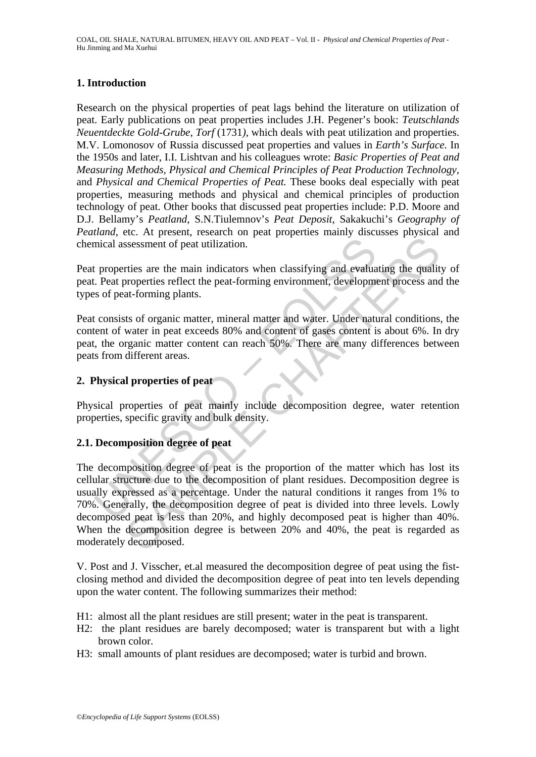# **1. Introduction**

Research on the physical properties of peat lags behind the literature on utilization of peat. Early publications on peat properties includes J.H. Pegener's book: *Teutschlands Neuentdeckte Gold-Grube, Torf* (1731*),* which deals with peat utilization and properties. M.V. Lomonosov of Russia discussed peat properties and values in *Earth's Surface.* In the 1950s and later, I.I. Lishtvan and his colleagues wrote: *Basic Properties of Peat and Measuring Methods, Physical and Chemical Principles of Peat Production Technology,*  and *Physical and Chemical Properties of Peat.* These books deal especially with peat properties, measuring methods and physical and chemical principles of production technology of peat. Other books that discussed peat properties include: P.D. Moore and D.J. Bellamy's *Peatland*, S.N.Tiulemnov's *Peat Deposit*, Sakakuchi's *Geography of Peatland*, etc. At present, research on peat properties mainly discusses physical and chemical assessment of peat utilization.

Peat properties are the main indicators when classifying and evaluating the quality of peat. Peat properties reflect the peat-forming environment, development process and the types of peat-forming plants.

Peat consists of organic matter, mineral matter and water. Under natural conditions, the content of water in peat exceeds 80% and content of gases content is about 6%. In dry peat, the organic matter content can reach 50%. There are many differences between peats from different areas.

## **2. Physical properties of peat**

Physical properties of peat mainly include decomposition degree, water retention properties, specific gravity and bulk density.

### **2.1. Decomposition degree of peat**

mical assessment of peat utilization.<br>
The properties are the main indicators when classifying and evalua<br>
Dead properties reflect the peat-forming environment, development<br>
So f peat-forming plants.<br>
Econsists of organic SAMPLE CHAPTERS The decomposition degree of peat is the proportion of the matter which has lost its cellular structure due to the decomposition of plant residues. Decomposition degree is usually expressed as a percentage. Under the natural conditions it ranges from 1% to 70%. Generally, the decomposition degree of peat is divided into three levels. Lowly decomposed peat is less than 20%, and highly decomposed peat is higher than 40%. When the decomposition degree is between 20% and 40%, the peat is regarded as moderately decomposed.

V. Post and J. Visscher, et.al measured the decomposition degree of peat using the fistclosing method and divided the decomposition degree of peat into ten levels depending upon the water content. The following summarizes their method:

- H1: almost all the plant residues are still present; water in the peat is transparent.
- H2: the plant residues are barely decomposed; water is transparent but with a light brown color.
- H3: small amounts of plant residues are decomposed; water is turbid and brown.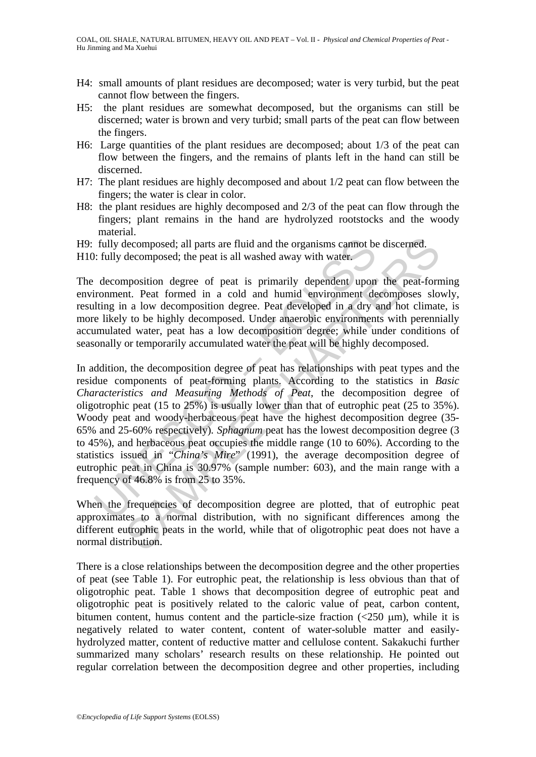- H4: small amounts of plant residues are decomposed; water is very turbid, but the peat cannot flow between the fingers.
- H5: the plant residues are somewhat decomposed, but the organisms can still be discerned; water is brown and very turbid; small parts of the peat can flow between the fingers.
- H6: Large quantities of the plant residues are decomposed; about 1/3 of the peat can flow between the fingers, and the remains of plants left in the hand can still be discerned.
- H7: The plant residues are highly decomposed and about 1/2 peat can flow between the fingers; the water is clear in color.
- H8: the plant residues are highly decomposed and 2/3 of the peat can flow through the fingers; plant remains in the hand are hydrolyzed rootstocks and the woody material.
- H9: fully decomposed; all parts are fluid and the organisms cannot be discerned.

H10: fully decomposed; the peat is all washed away with water.

The decomposition degree of peat is primarily dependent upon the peat-forming environment. Peat formed in a cold and humid environment decomposes slowly, resulting in a low decomposition degree. Peat developed in a dry and hot climate, is more likely to be highly decomposed. Under anaerobic environments with perennially accumulated water, peat has a low decomposition degree; while under conditions of seasonally or temporarily accumulated water the peat will be highly decomposed.

fully decomposed; all parts are fluid and the organisms cannot be<br>
i: fully decomposed; the peat is all washed away with water.<br>
decomposition degree of peat is primarily dependent upon<br>
iromment. Peat formed in a cold an decomposed; all parts are fluid and the organisms cannot be discerned.<br>decomposed; the peat is all washed away with water.<br>mposition degree of peat is primarily dependent upon the peat-form<br>nt. Peat formed in a cold and h In addition, the decomposition degree of peat has relationships with peat types and the residue components of peat-forming plants. According to the statistics in *Basic Characteristics and Measuring Methods of Peat*, the decomposition degree of oligotrophic peat (15 to 25%) is usually lower than that of eutrophic peat (25 to 35%). Woody peat and woody-herbaceous peat have the highest decomposition degree (35- 65% and 25-60% respectively)*. Sphagnum* peat has the lowest decomposition degree (3 to 45%), and herbaceous peat occupies the middle range (10 to 60%). According to the statistics issued in "*China's Mire*" (1991), the average decomposition degree of eutrophic peat in China is 30.97% (sample number: 603), and the main range with a frequency of 46.8% is from 25 to 35%.

When the frequencies of decomposition degree are plotted, that of eutrophic peat approximates to a normal distribution, with no significant differences among the different eutrophic peats in the world, while that of oligotrophic peat does not have a normal distribution.

There is a close relationships between the decomposition degree and the other properties of peat (see Table 1). For eutrophic peat, the relationship is less obvious than that of oligotrophic peat. Table 1 shows that decomposition degree of eutrophic peat and oligotrophic peat is positively related to the caloric value of peat, carbon content, bitumen content, humus content and the particle-size fraction  $\left(\frac{250 \text{ }\mu\text{m}}{\text{m}}\right)$ , while it is negatively related to water content, content of water-soluble matter and easilyhydrolyzed matter, content of reductive matter and cellulose content. Sakakuchi further summarized many scholars' research results on these relationship. He pointed out regular correlation between the decomposition degree and other properties, including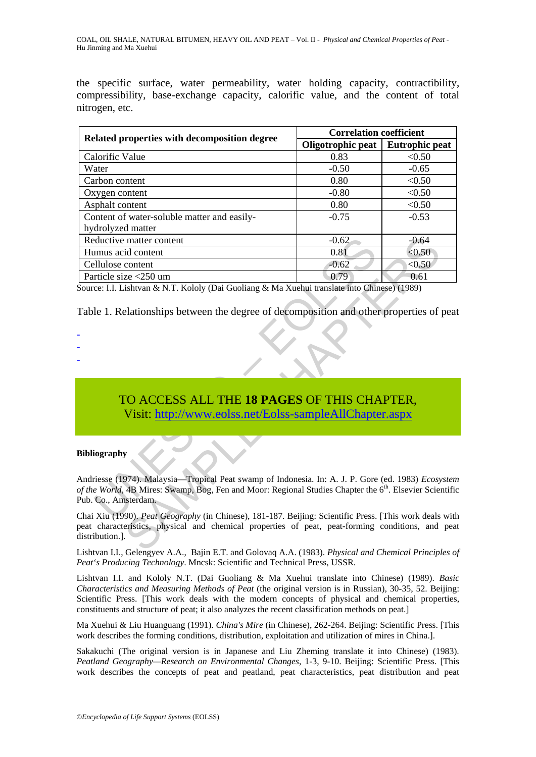the specific surface, water permeability, water holding capacity, contractibility, compressibility, base-exchange capacity, calorific value, and the content of total nitrogen, etc.

| Related properties with decomposition degree                                                                                                                                                                                           | <b>Correlation coefficient</b> |                       |
|----------------------------------------------------------------------------------------------------------------------------------------------------------------------------------------------------------------------------------------|--------------------------------|-----------------------|
|                                                                                                                                                                                                                                        | Oligotrophic peat              | <b>Eutrophic peat</b> |
| Calorific Value                                                                                                                                                                                                                        | 0.83                           | < 0.50                |
| Water                                                                                                                                                                                                                                  | $-0.50$                        | $-0.65$               |
| Carbon content                                                                                                                                                                                                                         | 0.80                           | < 0.50                |
| Oxygen content                                                                                                                                                                                                                         | $-0.80$                        | < 0.50                |
| Asphalt content                                                                                                                                                                                                                        | 0.80                           | < 0.50                |
| Content of water-soluble matter and easily-<br>hydrolyzed matter                                                                                                                                                                       | $-0.75$                        | $-0.53$               |
| Reductive matter content                                                                                                                                                                                                               | $-0.62$                        | $-0.64$               |
| Humus acid content                                                                                                                                                                                                                     | 0.81                           | < 0.50                |
| Cellulose content                                                                                                                                                                                                                      | $-0.62$                        | < 0.50                |
| Particle size <250 um                                                                                                                                                                                                                  | 0.79                           | 0.61                  |
| TO ACCESS ALL THE 18 PAGES OF THIS CHAPTER,                                                                                                                                                                                            |                                |                       |
| Visit: http://www.eolss.net/Eolss-sampleAllChapter.aspx                                                                                                                                                                                |                                |                       |
| <b>Bibliography</b>                                                                                                                                                                                                                    |                                |                       |
| Andriesse (1974). Malaysia-Tropical Peat swamp of Indonesia. In: A. J. P. Gore (ed. 1983) Ecosystem<br>of the World, 4B Mires: Swamp, Bog, Fen and Moor: Regional Studies Chapter the 6th. Elsevier Scientific<br>Pub. Co., Amsterdam. |                                |                       |
| Chai Xiu (1990). Peat Geography (in Chinese), 181-187. Beijing: Scientific Press. [This work deals with<br>peat characteristics, physical and chemical properties of peat, peat-forming conditions, and pea<br>distribution.].         |                                |                       |
| Lightson LL Colongyou $\Lambda$ , $\Lambda$ Doin E.T. and Coloyea $\Lambda$ , $\Lambda$ (1092) Dhugiad and Chamical Driveiples of                                                                                                      |                                |                       |

- -
- -
- -

# TO ACCESS ALL THE **18 PAGES** OF THIS CHAPTER, Visit: http://www.eolss.net/Eolss-sampleAllChapter.aspx

#### **Bibliography**

Lishtvan I.I., Gelengyev A.A., Bajin E.T. and Golovaq A.A. (1983). *Physical and Chemical Principles of Peat's Producing Technology*. Mncsk: Scientific and Technical Press, USSR.

Lishtvan I.I. and Kololy N.T. (Dai Guoliang & Ma Xuehui translate into Chinese) (1989). *Basic Characteristics and Measuring Methods of Peat* (the original version is in Russian), 30-35, 52. Beijing: Scientific Press. [This work deals with the modern concepts of physical and chemical properties, constituents and structure of peat; it also analyzes the recent classification methods on peat.]

Ma Xuehui & Liu Huanguang (1991). *China's Mire* (in Chinese), 262-264. Beijing: Scientific Press. [This work describes the forming conditions, distribution, exploitation and utilization of mires in China.].

Sakakuchi (The original version is in Japanese and Liu Zheming translate it into Chinese) (1983). *Peatland Geography—Research on Environmental Changes*, 1-3, 9-10. Beijing: Scientific Press. [This work describes the concepts of peat and peatland, peat characteristics, peat distribution and peat